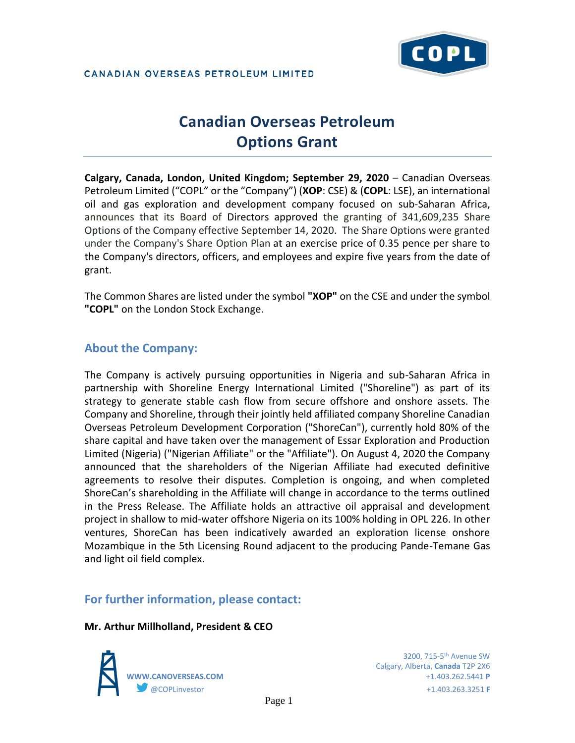

# **Canadian Overseas Petroleum Options Grant**

**Calgary, Canada, London, United Kingdom; September 29, 2020** – Canadian Overseas Petroleum Limited ("COPL" or the "Company") (**XOP**: CSE) & (**COPL**: LSE), an international oil and gas exploration and development company focused on sub-Saharan Africa, announces that its Board of Directors approved the granting of 341,609,235 Share Options of the Company effective September 14, 2020. The Share Options were granted under the Company's Share Option Plan at an exercise price of 0.35 pence per share to the Company's directors, officers, and employees and expire five years from the date of grant.

The Common Shares are listed under the symbol **"XOP"** on the CSE and under the symbol **"COPL"** on the London Stock Exchange.

## **About the Company:**

The Company is actively pursuing opportunities in Nigeria and sub-Saharan Africa in partnership with Shoreline Energy International Limited ("Shoreline") as part of its strategy to generate stable cash flow from secure offshore and onshore assets. The Company and Shoreline, through their jointly held affiliated company Shoreline Canadian Overseas Petroleum Development Corporation ("ShoreCan"), currently hold 80% of the share capital and have taken over the management of Essar Exploration and Production Limited (Nigeria) ("Nigerian Affiliate" or the "Affiliate"). On August 4, 2020 the Company announced that the shareholders of the Nigerian Affiliate had executed definitive agreements to resolve their disputes. Completion is ongoing, and when completed ShoreCan's shareholding in the Affiliate will change in accordance to the terms outlined in the Press Release. The Affiliate holds an attractive oil appraisal and development project in shallow to mid-water offshore Nigeria on its 100% holding in OPL 226. In other ventures, ShoreCan has been indicatively awarded an exploration license onshore Mozambique in the 5th Licensing Round adjacent to the producing Pande-Temane Gas and light oil field complex.

## **For further information, please contact:**

#### **Mr. Arthur Millholland, President & CEO**



Calgary, Alberta, **Canada** T2P 2X6 **WWW.CANOVERSEAS.COM** +1.403.262.5441 **P** @COPLinvestor +1.403.263.3251 **F**